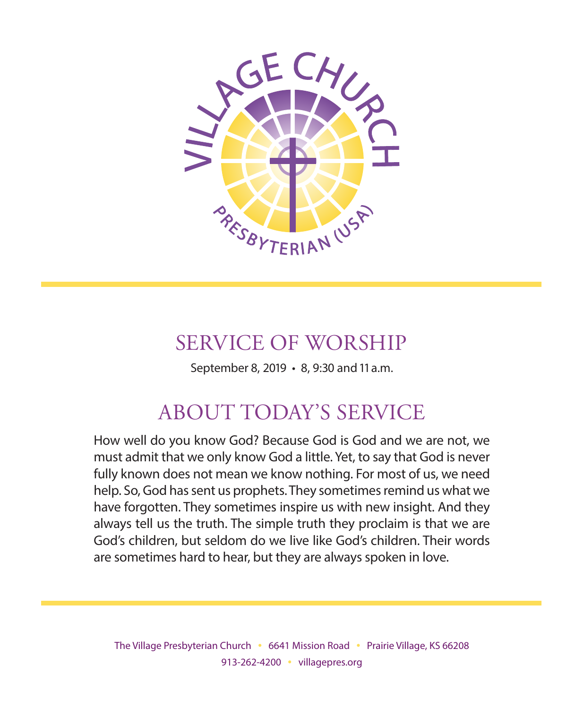

# SERVICE OF WORSHIP

September 8, 2019 • 8, 9:30 and 11 a.m.

# ABOUT TODAY'S SERVICE

How well do you know God? Because God is God and we are not, we must admit that we only know God a little. Yet, to say that God is never fully known does not mean we know nothing. For most of us, we need help. So, God has sent us prophets. They sometimes remind us what we have forgotten. They sometimes inspire us with new insight. And they always tell us the truth. The simple truth they proclaim is that we are God's children, but seldom do we live like God's children. Their words are sometimes hard to hear, but they are always spoken in love.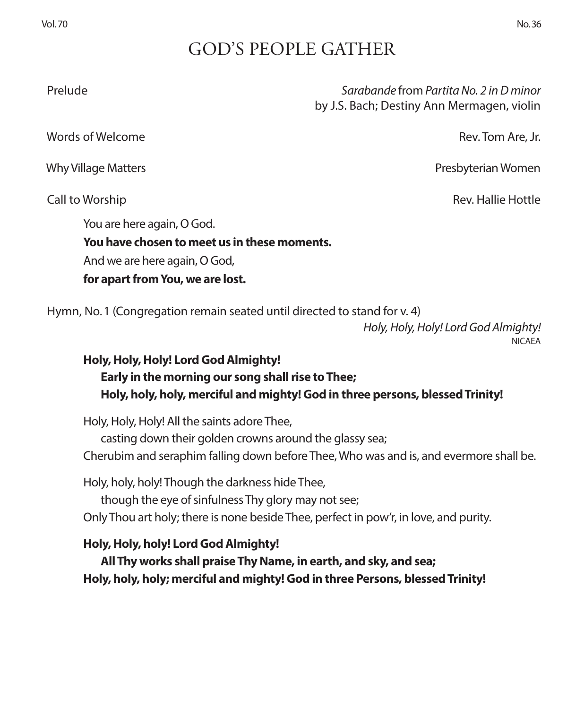# GOD'S PEOPLE GATHER

 Prelude *Sarabande* from *Partita No. 2 in D minor*  by J.S. Bach; Destiny Ann Mermagen, violin

words of Welcome **Rev. Tom Are, Jr. And Are, Jr. And Are, Jr. Are, Are, Jr. Are, Are, Jr. Are, Jr. Are, Jr.** 

You are here again, O God.

**You have chosen to meet us in these moments.**

And we are here again, O God,

**for apart from You, we are lost.**

Hymn, No. 1 (Congregation remain seated until directed to stand for v. 4)

*Holy, Holy, Holy! Lord God Almighty!* NICAEA

### **Holy, Holy, Holy! Lord God Almighty! Early in the morning our song shall rise to Thee; Holy, holy, holy, merciful and mighty! God in three persons, blessed Trinity!**

Holy, Holy, Holy! All the saints adore Thee,

casting down their golden crowns around the glassy sea;

Cherubim and seraphim falling down before Thee, Who was and is, and evermore shall be.

Holy, holy, holy! Though the darkness hide Thee,

though the eye of sinfulness Thy glory may not see;

Only Thou art holy; there is none beside Thee, perfect in pow'r, in love, and purity.

### **Holy, Holy, holy! Lord God Almighty!**

**All Thy works shall praise Thy Name, in earth, and sky, and sea; Holy, holy, holy; merciful and mighty! God in three Persons, blessed Trinity!**

Why Village Matters Presbyterian Women

Call to Worship Rev. Hallie Hottle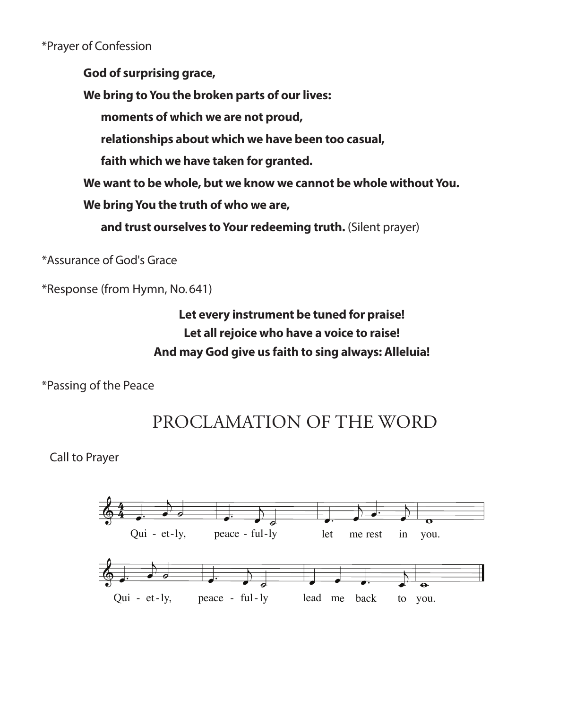### \*Prayer of Confession

**God of surprising grace,**

**We bring to You the broken parts of our lives:**

**moments of which we are not proud,**

**relationships about which we have been too casual,**

**faith which we have taken for granted.**

**We want to be whole, but we know we cannot be whole without You.**

**We bring You the truth of who we are,** 

**and trust ourselves to Your redeeming truth.** (Silent prayer)

\*Assurance of God's Grace

\*Response (from Hymn, No. 641)

### **Let every instrument be tuned for praise! Let all rejoice who have a voice to raise! And may God give us faith to sing always: Alleluia!**

\*Passing of the Peace



 Call to Prayer  $\mathcal{Y}$ 

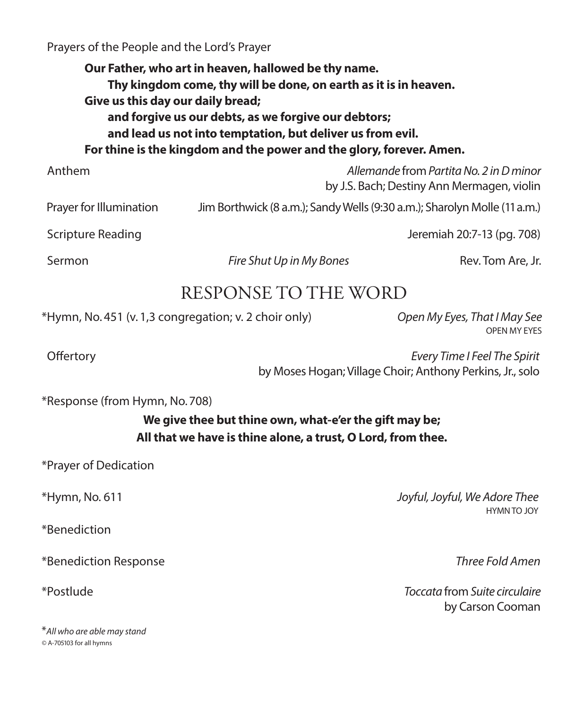Prayers of the People and the Lord's Prayer

**Our Father, who art in heaven, hallowed be thy name. Thy kingdom come, thy will be done, on earth as it is in heaven. Give us this day our daily bread; and forgive us our debts, as we forgive our debtors; and lead us not into temptation, but deliver us from evil. For thine is the kingdom and the power and the glory, forever. Amen.**

 Anthem *Allemande* from *Partita No. 2 in D minor*  by J.S. Bach; Destiny Ann Mermagen, violin Prayer for Illumination Jim Borthwick (8 a.m.); Sandy Wells (9:30 a.m.); Sharolyn Molle (11 a.m.) Scripture Reading **Jeremiah 20:7-13 (pg. 708)** 

Sermon **Fire Shut Up in My Bones Rev. Tom Are, Jr.** 2014

### RESPONSE TO THE WORD

\*Hymn, No. 451 (v. 1,3 congregation; v. 2 choir only) *Open My Eyes, That I May See*

OPEN MY EYES

 Offertory *Every Time I Feel The Spirit* by Moses Hogan; Village Choir; Anthony Perkins, Jr., solo

\*Response (from Hymn, No. 708)

**We give thee but thine own, what-e'er the gift may be; All that we have is thine alone, a trust, O Lord, from thee.**

\*Prayer of Dedication

\*Benediction

\*Benediction Response *Three Fold Amen*

\**All who are able may stand ©* A-705103 for all hymns

\*Hymn, No. 611 *Joyful, Joyful, We Adore Thee* HYMN TO JOY

\*Postlude *Toccata* from *Suite circulaire* by Carson Cooman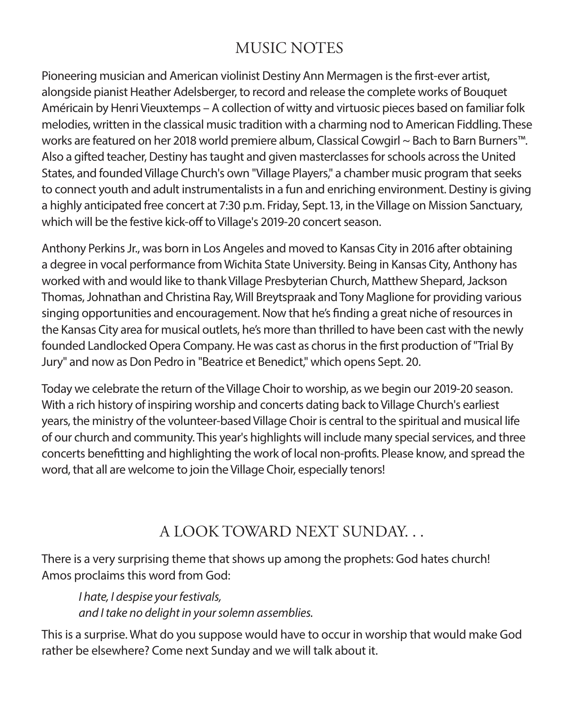# MUSIC NOTES

Pioneering musician and American violinist Destiny Ann Mermagen is the first-ever artist, alongside pianist Heather Adelsberger, to record and release the complete works of Bouquet Américain by Henri Vieuxtemps – A collection of witty and virtuosic pieces based on familiar folk melodies, written in the classical music tradition with a charming nod to American Fiddling. These works are featured on her 2018 world premiere album, Classical Cowgirl ~ Bach to Barn Burners™. Also a gifted teacher, Destiny has taught and given masterclasses for schools across the United States, and founded Village Church's own "Village Players," a chamber music program that seeks to connect youth and adult instrumentalists in a fun and enriching environment. Destiny is giving a highly anticipated free concert at 7:30 p.m. Friday, Sept. 13, in the Village on Mission Sanctuary, which will be the festive kick-off to Village's 2019-20 concert season.

Anthony Perkins Jr., was born in Los Angeles and moved to Kansas City in 2016 after obtaining a degree in vocal performance from Wichita State University. Being in Kansas City, Anthony has worked with and would like to thank Village Presbyterian Church, Matthew Shepard, Jackson Thomas, Johnathan and Christina Ray, Will Breytspraak and Tony Maglione for providing various singing opportunities and encouragement. Now that he's finding a great niche of resources in the Kansas City area for musical outlets, he's more than thrilled to have been cast with the newly founded Landlocked Opera Company. He was cast as chorus in the first production of "Trial By Jury" and now as Don Pedro in "Beatrice et Benedict," which opens Sept. 20.

Today we celebrate the return of the Village Choir to worship, as we begin our 2019-20 season. With a rich history of inspiring worship and concerts dating back to Village Church's earliest years, the ministry of the volunteer-based Village Choir is central to the spiritual and musical life of our church and community. This year's highlights will include many special services, and three concerts benefitting and highlighting the work of local non-profits. Please know, and spread the word, that all are welcome to join the Village Choir, especially tenors!

# A LOOK TOWARD NEXT SUNDAY. . .

There is a very surprising theme that shows up among the prophets: God hates church! Amos proclaims this word from God:

*I hate, I despise your festivals, and I take no delight in your solemn assemblies.*

This is a surprise. What do you suppose would have to occur in worship that would make God rather be elsewhere? Come next Sunday and we will talk about it.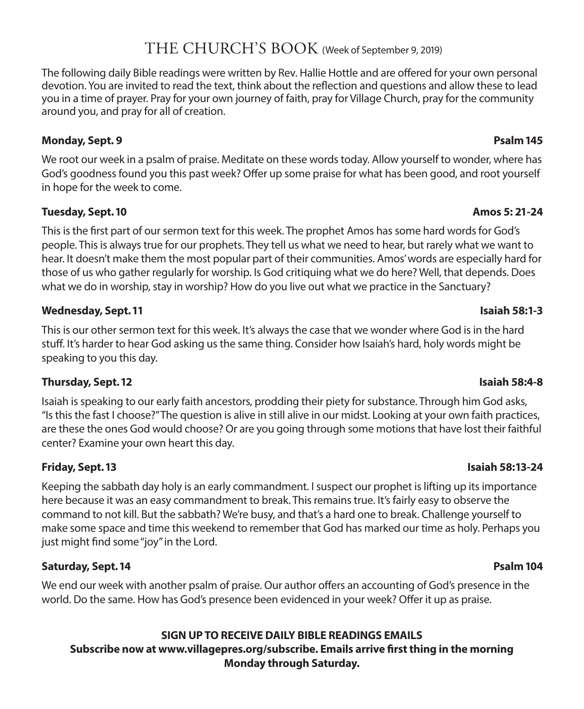### THE CHURCH'S BOOK (Week of September 9, 2019)

The following daily Bible readings were written by Rev. Hallie Hottle and are offered for your own personal devotion. You are invited to read the text, think about the reflection and questions and allow these to lead you in a time of prayer. Pray for your own journey of faith, pray for Village Church, pray for the community around you, and pray for all of creation.

### **Monday, Sept. 9 Psalm 145**

We root our week in a psalm of praise. Meditate on these words today. Allow yourself to wonder, where has God's goodness found you this past week? Offer up some praise for what has been good, and root yourself in hope for the week to come.

### **Tuesday, Sept. 10 Amos 5: 21-24**

This is the first part of our sermon text for this week. The prophet Amos has some hard words for God's people. This is always true for our prophets. They tell us what we need to hear, but rarely what we want to hear. It doesn't make them the most popular part of their communities. Amos' words are especially hard for those of us who gather regularly for worship. Is God critiquing what we do here? Well, that depends. Does what we do in worship, stay in worship? How do you live out what we practice in the Sanctuary?

### **Wednesday, Sept. 11 Isaiah 58:1-3**

This is our other sermon text for this week. It's always the case that we wonder where God is in the hard stuff. It's harder to hear God asking us the same thing. Consider how Isaiah's hard, holy words might be speaking to you this day.

### **Thursday, Sept. 12 Isaiah 58:4-8**

Isaiah is speaking to our early faith ancestors, prodding their piety for substance. Through him God asks, "Is this the fast I choose?" The question is alive in still alive in our midst. Looking at your own faith practices, are these the ones God would choose? Or are you going through some motions that have lost their faithful center? Examine your own heart this day.

### **Friday, Sept. 13 Isaiah 58:13-24**

Keeping the sabbath day holy is an early commandment. I suspect our prophet is lifting up its importance here because it was an easy commandment to break. This remains true. It's fairly easy to observe the command to not kill. But the sabbath? We're busy, and that's a hard one to break. Challenge yourself to make some space and time this weekend to remember that God has marked our time as holy. Perhaps you just might find some "joy" in the Lord.

### **Saturday, Sept. 14 Psalm 104**

We end our week with another psalm of praise. Our author offers an accounting of God's presence in the world. Do the same. How has God's presence been evidenced in your week? Offer it up as praise.

### **SIGN UP TO RECEIVE DAILY BIBLE READINGS EMAILS Subscribe now at www.villagepres.org/subscribe. Emails arrive first thing in the morning Monday through Saturday.**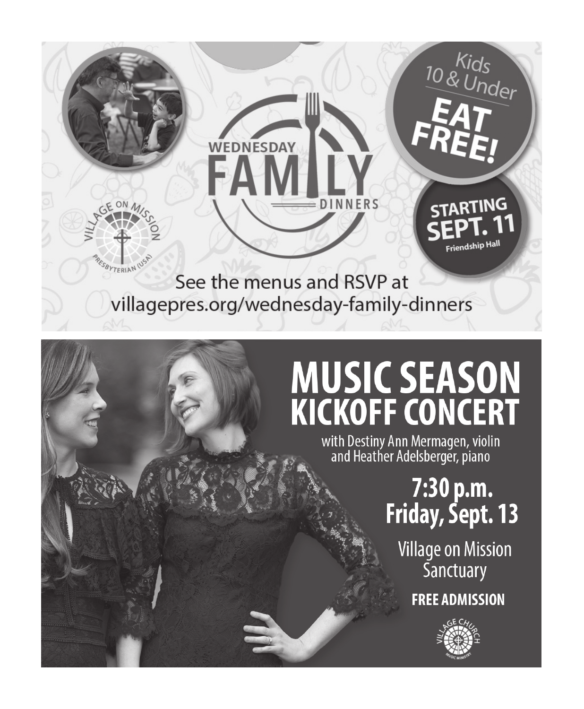

# **MUSIC SEASON KICKOFF CONCERT**

with Destiny Ann Mermagen, violin<br>and Heather Adelsberger, piano

7:30 p.m. Friday, Sept. 13

**Village on Mission Sanctuary FREE ADMISSION**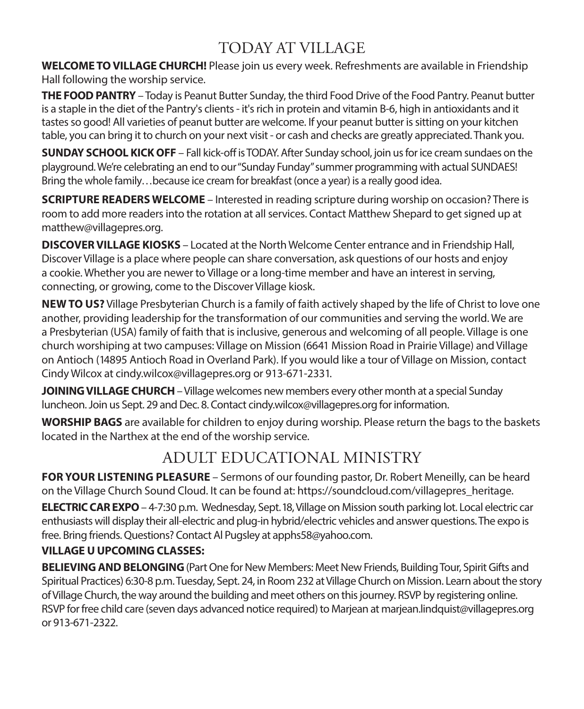# TODAY AT VILLAGE

**WELCOME TO VILLAGE CHURCH!** Please join us every week. Refreshments are available in Friendship Hall following the worship service.

**THE FOOD PANTRY** – Today is Peanut Butter Sunday, the third Food Drive of the Food Pantry. Peanut butter is a staple in the diet of the Pantry's clients - it's rich in protein and vitamin B-6, high in antioxidants and it tastes so good! All varieties of peanut butter are welcome. If your peanut butter is sitting on your kitchen table, you can bring it to church on your next visit - or cash and checks are greatly appreciated. Thank you.

**SUNDAY SCHOOL KICK OFF** – Fall kick-off is TODAY. After Sunday school, join us for ice cream sundaes on the playground. We're celebrating an end to our "Sunday Funday" summer programming with actual SUNDAES! Bring the whole family…because ice cream for breakfast (once a year) is a really good idea.

**SCRIPTURE READERS WELCOME** – Interested in reading scripture during worship on occasion? There is room to add more readers into the rotation at all services. Contact Matthew Shepard to get signed up at matthew@villagepres.org.

**DISCOVER VILLAGE KIOSKS** – Located at the North Welcome Center entrance and in Friendship Hall, Discover Village is a place where people can share conversation, ask questions of our hosts and enjoy a cookie. Whether you are newer to Village or a long-time member and have an interest in serving, connecting, or growing, come to the Discover Village kiosk.

**NEW TO US?** Village Presbyterian Church is a family of faith actively shaped by the life of Christ to love one another, providing leadership for the transformation of our communities and serving the world. We are a Presbyterian (USA) family of faith that is inclusive, generous and welcoming of all people. Village is one church worshiping at two campuses: Village on Mission (6641 Mission Road in Prairie Village) and Village on Antioch (14895 Antioch Road in Overland Park). If you would like a tour of Village on Mission, contact Cindy Wilcox at cindy.wilcox@villagepres.org or 913-671-2331.

**JOINING VILLAGE CHURCH** – Village welcomes new members every other month at a special Sunday luncheon. Join us Sept. 29 and Dec. 8. Contact cindy.wilcox@villagepres.org for information.

**WORSHIP BAGS** are available for children to enjoy during worship. Please return the bags to the baskets located in the Narthex at the end of the worship service.

# ADULT EDUCATIONAL MINISTRY

**FOR YOUR LISTENING PLEASURE** – Sermons of our founding pastor, Dr. Robert Meneilly, can be heard on the Village Church Sound Cloud. It can be found at: https://soundcloud.com/villagepres\_heritage.

**ELECTRIC CAR EXPO** – 4-7:30 p.m. Wednesday, Sept. 18, Village on Mission south parking lot. Local electric car enthusiasts will display their all-electric and plug-in hybrid/electric vehicles and answer questions. The expo is free. Bring friends. Questions? Contact Al Pugsley at apphs58@yahoo.com.

### **VILLAGE U UPCOMING CLASSES:**

**BELIEVING AND BELONGING** (Part One for New Members: Meet New Friends, Building Tour, Spirit Gifts and Spiritual Practices) 6:30-8 p.m. Tuesday, Sept. 24, in Room 232 at Village Church on Mission. Learn about the story of Village Church, the way around the building and meet others on this journey. RSVP by registering online. RSVP for free child care (seven days advanced notice required) to Marjean at marjean.lindquist@villagepres.org or 913-671-2322.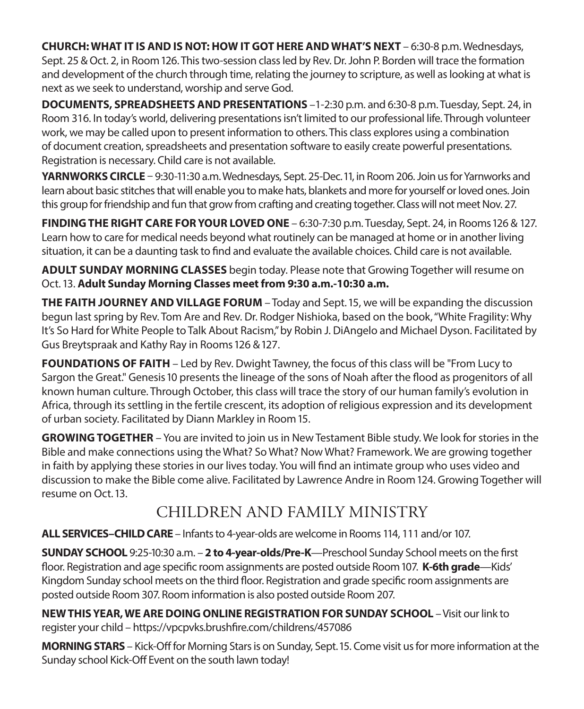**CHURCH: WHAT IT IS AND IS NOT: HOW IT GOT HERE AND WHAT'S NEXT** – 6:30-8 p.m. Wednesdays, Sept. 25 & Oct. 2, in Room 126. This two-session class led by Rev. Dr. John P. Borden will trace the formation and development of the church through time, relating the journey to scripture, as well as looking at what is next as we seek to understand, worship and serve God.

**DOCUMENTS, SPREADSHEETS AND PRESENTATIONS** –1-2:30 p.m. and 6:30-8 p.m. Tuesday, Sept. 24, in Room 316. In today's world, delivering presentations isn't limited to our professional life. Through volunteer work, we may be called upon to present information to others. This class explores using a combination of document creation, spreadsheets and presentation software to easily create powerful presentations. Registration is necessary. Child care is not available.

**YARNWORKS CIRCLE** – 9:30-11:30 a.m. Wednesdays, Sept. 25-Dec. 11, in Room 206. Join us for Yarnworks and learn about basic stitches that will enable you to make hats, blankets and more for yourself or loved ones. Join this group for friendship and fun that grow from crafting and creating together. Class will not meet Nov. 27.

**FINDING THE RIGHT CARE FOR YOUR LOVED ONE** – 6:30-7:30 p.m. Tuesday, Sept. 24, in Rooms 126 & 127. Learn how to care for medical needs beyond what routinely can be managed at home or in another living situation, it can be a daunting task to find and evaluate the available choices. Child care is not available.

**ADULT SUNDAY MORNING CLASSES** begin today. Please note that Growing Together will resume on Oct. 13. **Adult Sunday Morning Classes meet from 9:30 a.m.-10:30 a.m.**

**THE FAITH JOURNEY AND VILLAGE FORUM** – Today and Sept. 15, we will be expanding the discussion begun last spring by Rev. Tom Are and Rev. Dr. Rodger Nishioka, based on the book, "White Fragility: Why It's So Hard for White People to Talk About Racism," by Robin J. DiAngelo and Michael Dyson. Facilitated by Gus Breytspraak and Kathy Ray in Rooms 126 & 127.

**FOUNDATIONS OF FAITH** – Led by Rev. Dwight Tawney, the focus of this class will be "From Lucy to Sargon the Great." Genesis 10 presents the lineage of the sons of Noah after the flood as progenitors of all known human culture. Through October, this class will trace the story of our human family's evolution in Africa, through its settling in the fertile crescent, its adoption of religious expression and its development of urban society. Facilitated by Diann Markley in Room 15.

**GROWING TOGETHER** – You are invited to join us in New Testament Bible study. We look for stories in the Bible and make connections using the What? So What? Now What? Framework. We are growing together in faith by applying these stories in our lives today. You will find an intimate group who uses video and discussion to make the Bible come alive. Facilitated by Lawrence Andre in Room 124. Growing Together will resume on Oct. 13.

# CHILDREN AND FAMILY MINISTRY

**ALL SERVICES–CHILD CARE** – Infants to 4-year-olds are welcome in Rooms 114, 111 and/or 107.

**SUNDAY SCHOOL** 9:25-10:30 a.m. – **2 to 4-year-olds/Pre-K**—Preschool Sunday School meets on the first floor. Registration and age specific room assignments are posted outside Room 107. **K-6th grade**—Kids' Kingdom Sunday school meets on the third floor. Registration and grade specific room assignments are posted outside Room 307. Room information is also posted outside Room 207.

**NEW THIS YEAR, WE ARE DOING ONLINE REGISTRATION FOR SUNDAY SCHOOL** – Visit our link to register your child – https://vpcpvks.brushfire.com/childrens/457086

**MORNING STARS** – Kick-Off for Morning Stars is on Sunday, Sept. 15. Come visit us for more information at the Sunday school Kick-Off Event on the south lawn today!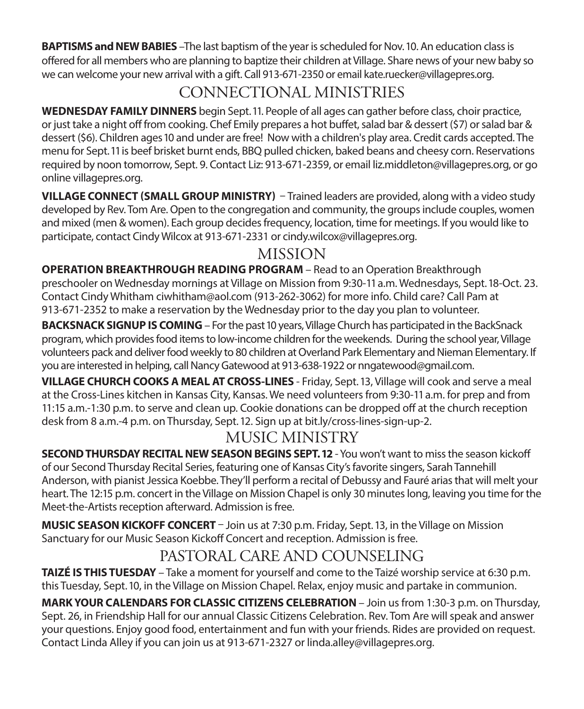**BAPTISMS and NEW BABIES** –The last baptism of the year is scheduled for Nov. 10. An education class is offered for all members who are planning to baptize their children at Village. Share news of your new baby so we can welcome your new arrival with a gift. Call 913-671-2350 or email kate.ruecker@villagepres.org.

# CONNECTIONAL MINISTRIES

**WEDNESDAY FAMILY DINNERS** begin Sept. 11. People of all ages can gather before class, choir practice, or just take a night off from cooking. Chef Emily prepares a hot buffet, salad bar & dessert (\$7) or salad bar & dessert (\$6). Children ages 10 and under are free! Now with a children's play area. Credit cards accepted. The menu for Sept. 11 is beef brisket burnt ends, BBQ pulled chicken, baked beans and cheesy corn. Reservations required by noon tomorrow, Sept. 9. Contact Liz: 913-671-2359, or email liz.middleton@villagepres.org, or go online villagepres.org.

**VILLAGE CONNECT (SMALL GROUP MINISTRY)** – Trained leaders are provided, along with a video study developed by Rev. Tom Are. Open to the congregation and community, the groups include couples, women and mixed (men & women). Each group decides frequency, location, time for meetings. If you would like to participate, contact Cindy Wilcox at 913-671-2331 or cindy.wilcox@villagepres.org.

# MISSION

**OPERATION BREAKTHROUGH READING PROGRAM** – Read to an Operation Breakthrough preschooler on Wednesday mornings at Village on Mission from 9:30-11 a.m. Wednesdays, Sept. 18-Oct. 23. Contact Cindy Whitham ciwhitham@aol.com (913-262-3062) for more info. Child care? Call Pam at 913-671-2352 to make a reservation by the Wednesday prior to the day you plan to volunteer.

**BACKSNACK SIGNUP IS COMING** – For the past 10 years, Village Church has participated in the BackSnack program, which provides food items to low-income children for the weekends. During the school year, Village volunteers pack and deliver food weekly to 80 children at Overland Park Elementary and Nieman Elementary. If you are interested in helping, call Nancy Gatewood at 913-638-1922 or nngatewood@gmail.com.

**VILLAGE CHURCH COOKS A MEAL AT CROSS-LINES** - Friday, Sept. 13, Village will cook and serve a meal at the Cross-Lines kitchen in Kansas City, Kansas. We need volunteers from 9:30-11 a.m. for prep and from 11:15 a.m.-1:30 p.m. to serve and clean up. Cookie donations can be dropped off at the church reception desk from 8 a.m.-4 p.m. on Thursday, Sept. 12. Sign up at bit.ly/cross-lines-sign-up-2.

# MUSIC MINISTRY

**SECOND THURSDAY RECITAL NEW SEASON BEGINS SEPT. 12** - You won't want to miss the season kickoff of our Second Thursday Recital Series, featuring one of Kansas City's favorite singers, Sarah Tannehill Anderson, with pianist Jessica Koebbe. They'll perform a recital of Debussy and Fauré arias that will melt your heart. The 12:15 p.m. concert in the Village on Mission Chapel is only 30 minutes long, leaving you time for the Meet-the-Artists reception afterward. Admission is free.

**MUSIC SEASON KICKOFF CONCERT** – Join us at 7:30 p.m. Friday, Sept. 13, in the Village on Mission Sanctuary for our Music Season Kickoff Concert and reception. Admission is free.

# PASTORAL CARE AND COUNSELING

**TAIZÉ IS THIS TUESDAY** – Take a moment for yourself and come to the Taizé worship service at 6:30 p.m. this Tuesday, Sept. 10, in the Village on Mission Chapel. Relax, enjoy music and partake in communion.

**MARK YOUR CALENDARS FOR CLASSIC CITIZENS CELEBRATION** – Join us from 1:30-3 p.m. on Thursday, Sept. 26, in Friendship Hall for our annual Classic Citizens Celebration. Rev. Tom Are will speak and answer your questions. Enjoy good food, entertainment and fun with your friends. Rides are provided on request. Contact Linda Alley if you can join us at 913-671-2327 or linda.alley@villagepres.org.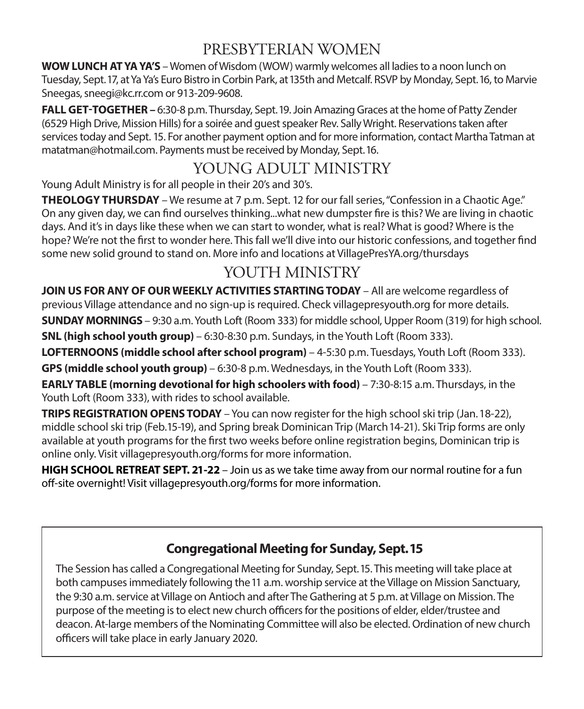# PRESBYTERIAN WOMEN

**WOW LUNCH AT YA YA'S** – Women of Wisdom (WOW) warmly welcomes all ladies to a noon lunch on Tuesday, Sept. 17, at Ya Ya's Euro Bistro in Corbin Park, at 135th and Metcalf. RSVP by Monday, Sept. 16, to Marvie Sneegas, sneegi@kc.rr.com or 913-209-9608.

**FALL GET-TOGETHER –** 6:30-8 p.m. Thursday, Sept. 19. Join Amazing Graces at the home of Patty Zender (6529 High Drive, Mission Hills) for a soirée and guest speaker Rev. Sally Wright. Reservations taken after services today and Sept. 15. For another payment option and for more information, contact Martha Tatman at matatman@hotmail.com. Payments must be received by Monday, Sept. 16.

# YOUNG ADULT MINISTRY

Young Adult Ministry is for all people in their 20's and 30's.

**THEOLOGY THURSDAY** – We resume at 7 p.m. Sept. 12 for our fall series, "Confession in a Chaotic Age." On any given day, we can find ourselves thinking...what new dumpster fire is this? We are living in chaotic days. And it's in days like these when we can start to wonder, what is real? What is good? Where is the hope? We're not the first to wonder here. This fall we'll dive into our historic confessions, and together find some new solid ground to stand on. More info and locations at VillagePresYA.org/thursdays

# YOUTH MINISTRY

**JOIN US FOR ANY OF OUR WEEKLY ACTIVITIES STARTING TODAY** – All are welcome regardless of previous Village attendance and no sign-up is required. Check villagepresyouth.org for more details. **SUNDAY MORNINGS** – 9:30 a.m. Youth Loft (Room 333) for middle school, Upper Room (319) for high school.

**SNL (high school youth group)** – 6:30-8:30 p.m. Sundays, in the Youth Loft (Room 333).

**LOFTERNOONS (middle school after school program)** – 4-5:30 p.m. Tuesdays, Youth Loft (Room 333).

**GPS (middle school youth group)** – 6:30-8 p.m. Wednesdays, in the Youth Loft (Room 333).

**EARLY TABLE (morning devotional for high schoolers with food)** – 7:30-8:15 a.m. Thursdays, in the Youth Loft (Room 333), with rides to school available.

**TRIPS REGISTRATION OPENS TODAY** – You can now register for the high school ski trip (Jan. 18-22), middle school ski trip (Feb. 15-19), and Spring break Dominican Trip (March 14-21). Ski Trip forms are only available at youth programs for the first two weeks before online registration begins, Dominican trip is online only. Visit villagepresyouth.org/forms for more information.

**HIGH SCHOOL RETREAT SEPT. 21-22** – Join us as we take time away from our normal routine for a fun off-site overnight! Visit villagepresyouth.org/forms for more information.

### **Congregational Meeting for Sunday, Sept. 15**

The Session has called a Congregational Meeting for Sunday, Sept. 15. This meeting will take place at both campuses immediately following the 11 a.m. worship service at the Village on Mission Sanctuary, the 9:30 a.m. service at Village on Antioch and after The Gathering at 5 p.m. at Village on Mission. The purpose of the meeting is to elect new church officers for the positions of elder, elder/trustee and deacon. At-large members of the Nominating Committee will also be elected. Ordination of new church officers will take place in early January 2020.